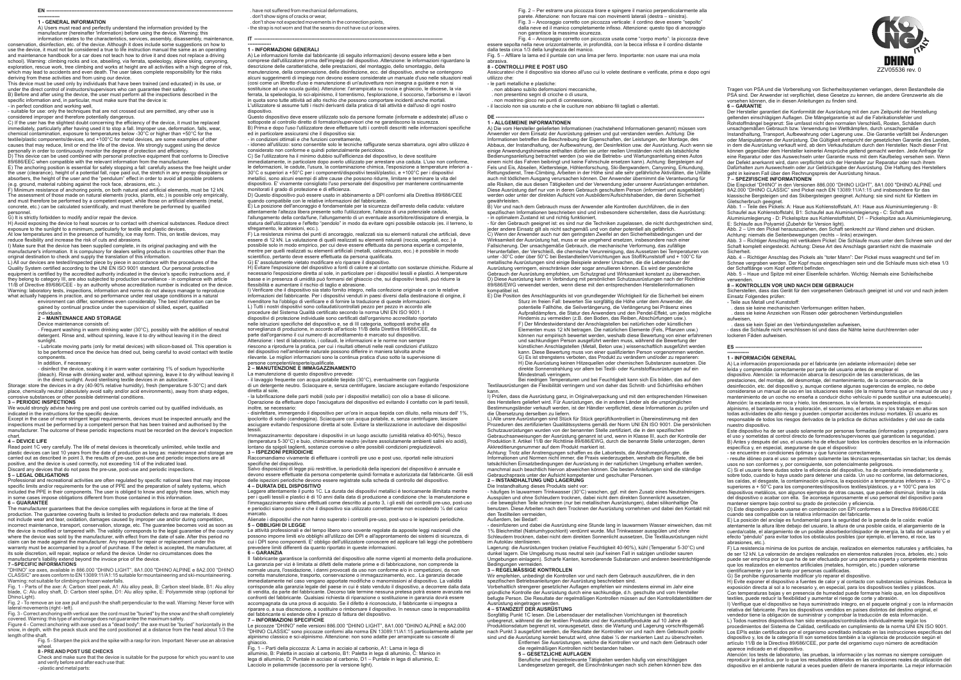

Tragen von PSA und die Vorbereitung von Sicherheitssystemen verlangen, deren Bestandteile die PSA sind. Der Anwender ist verpflichtet, diese Gesetze zu kennen, die andere Grenzwerte als die vorsehen können, die in diesen Anleitungen zu finden sind. **6 – GARANTIE**

Der Hersteller garantiert die Konformität der Ausrüstung mit den zum Zeitpunkt der Herstellung geltenden einschlägigen Auflagen. Die Mängelgarantie ist auf die Fabrikationsfehler und Rohstoffmängel begrenzt: Sie umfasst nicht den normalen Verschleiß, Rosten, Schäden durch unsachgemäßen Gebrauch bzw. Verwendung bei Wettkämpfen, durch unsachgemäße Instandhaltung, Transport, Aufbewahrung oder Lagerung usw.. Die Garantie verfällt bei Änderungen

oder Manipulationen der Ausrüstung. Die Gültigkeit entspricht der gesetzlichen Garantie des Landes,<br>in dem die Ausrüstung verkauft wird, ab dem Verkaufsdatum durch den Hersteller. Nach dieser Frist können gegenüber dem Hersteller keinerlei Ansprüche geltend gemacht werden. Jede Anfrage für eine Reparatur oder das Auswechseln unter Garantie muss mit dem Kaufbeleg versehen sein. Wenn der Defekt anerkannt wird, dann verpflichtet sich der Hersteller zur Reparatur oder nach ihrem Dafürhalten zum Auswechseln oder zur Geldrückgabe der Ausrüstung. Die Haftung des Herstellers geht in keinem Fall über den Rechnungspreis der Ausrüstung hinaus. **7 – SPEZIFISCHE INFORMATIONEN**

Die Eispickel "DHINO" in den Versionen 886.000 "DHINO LIGHT", 8A1.000 "DHINO ALPINE und 8A2.000 "DHINO CLASSIC" sind Pickel nach EN 13089:11/A1:15 und insbesondere für das klassische Bergsteigen und das Skibergsteigen geeignet. Achtung: sie sind nicht für Klettern im Gletscherbruch geeignet.

Abb. 1 – Teile des Pickels: A: Haue aus Kohlenstoffstahl, A1: Haue aus Aluminiumlegierung - B:

Schaufel aus Kohlenstoffstahl, B1: Schaufel aus Aluminiumlegierung - C: Schaft aus<br>Aluminiumlegierung - D: Pickelspitze aus Kohlenstoffstahl, D1 – Pickelspitze aus Aluminiumlegierung,<br>E: Schlaufe aus Polyamid (Zubehör für

Achtung: niemals die Seitenbewegungen (rechts – links) erzwingen. Abb. 3 – Richtiger Anschlag mit vertikalem Pickel: Die Schlaufe muss unter dem Schnee sein und der Schaft komplett eingesteckt. Achtung: Diese Art des Anschlags garantiert nicht die maximale

Sicherheit. Abb. 4 – Richtiger Anschlag des Pickels als "toter Mann": Der Pickel muss waagrecht und tief im Schnee vergraben werden. Der Kopf muss eingeschlagen sein und die Schlaufe muss sich etwa 1/3 der Schaftlänge vom Kopf entfernt befinden.

Abb. 5 – Haue und Spitze mit einer Eisenfeile schärfen. Wichtig: Niemals eine Schleifscheibe verwenden.

### **8 – KONTROLLEN VOR UND NACH DEM GEBRAUCH**

Sicherstellen, dass das Gerät für den vorgesehenen Gebrauch geeignet ist und vor und nach jedem Einsatz Folgendes prüfen: - Teile aus Metall und Kunststoff:

E) La posición del anclaje es fundamental para la seguridad de la parada de la caída: evalúe atentamente la altura libre debajo del usuario, la altura de una posible caída, el alargamiento de la cuerda/cable, el alargamiento de un posible absorbedor/disipador de energía, la talla del usuario y el efecto "péndulo" para evitar todos los obstáculos posibles (por ejemplo, el terreno, el roce, las abrasiones, etc.)

- 
- . dass sie keine mechanischen Verformungen erlitten haben,

 . dass sie keine Anzeichen von Rissen oder gebrochenen Verbindungsstellen aufweisen,

. dass sie kein Spiel an den Verbindungsstellen aufweisen,

- dass die Schlaufe nicht verschlissen ist und dass die Nähte keine durchtrennten oder lockeren Fäden aufweisen.

#### **ES ----------------------------------------------------------------------------------------------------------------**

# **------------- 1 - INFORMACIÓN GENERAL**

A) La información proporcionada por el fabricante (en adelante información) debe ser leída y comprendida correctamente por parte del usuario antes de emplear el

dispositivo. Atención: la información abarca la descripción de las características, de las prestaciones, del montaje, del desmontaje, del mantenimiento, de la conservación, de la desinfección, etc. del dispositivo y, aunque contiene algunas sugerencias de empleo, no debe considerarse un manual de uso en las situaciones reales (de la misma forma que un manual de uso y mantenimiento de un coche no enseña a conducir dicho vehículo ni puede sustituir una autoescuela). Atención: la escalada en roca y hielo, los descensos, la vía ferrata, la espeleología, el esquíalpinismo, el barranquismo, la exploración, el socorrismo, el arborismo y los trabajos en alturas son todas actividades de alto riesgo y pueden comportar accidentes incluso mortales. El usuario es responsable de todos los riesgos derivados de la práctica de dichas actividades y del uso de cada nuestro dispositivo.

Este dispositivo ha de ser usado solamente por personas formadas (informadas y preparadas) para el uso y sometidas al control directo de formadores/supervisores que garanticen la seguridad. B) Antes y después del uso, el usuario ha de efectuar todos los controles descritos en la información específica y, en especial, asegurarse de que el dispositivo:

- se encuentre en condiciones óptimas y que funcione correctamente,

- resulte idóneo para el uso: se permiten solamente las técnicas representadas sin tachar; los demás usos no son conformes y, por consiguiente, son potencialmente peligrosos. C) Si el usuario tiene dudas sobre la eficiencia del dispositivo, ha de cambiarlo inmediatamente y,

sobre todo, cuando lo haya usado para detener una caída. Un uso no conforme, las deformaciones, las caídas, el desgaste, la contaminación química, la exposición a temperaturas inferiores a - 30°C o superiores a + 50°C para los componentes/dispositivos textiles/plásticos, y a + 100°C para los dispositivos metálicos, son algunos ejemplos de otras causas, que pueden disminuir, limitar la vida del dispositivo o acabar con ella. Se aconseja rigurosamente el uso personal del dispositivo para

mantener siempre bajo control su grado de protección y eficiencia.<br>D) Este dispositivo puede usarse en combinación con EPI conformes a la Directiva 89/686/CEE<br>cuando sea compatible con la relativa información del fabricant

- für den Gebrauch geeignet ist: es sind nur die Techniken zugelassen, die nicht durchgestrichen sind,<br>jeder andere Einsatz gilt als nicht sachgemäß und von daher potentiell als gefährlich. C) Wenn der Anwender auch nur den geringsten Zweifel an den Sicherheitsbedingungen und der Wirksamkeit der Ausrüstung hat, muss er sie umgehend ersetzen, insbesondere nach einer Fallsicherung. Der unsachgemäße Gebrauch, die mechanische Verformung, das zufällige Herunterfallen, der Verschleiß, die chemische Verunreinigung, das Aussetzen bei Temperaturen von unter -30°C oder über 50°C bei Bestandteilen/Vorrichtungen aus Stoff/Kunststoff und + 100°C für metallische Ausrüstungen sind einige Beispiele anderer Ursachen, die die Lebensdauer der Ausrüstung verringern, einschränken oder sogar annullieren können. Es wird der persönliche Gebrauch der Ausrüstung empfohlen, um Schutzgrad und Wirksamkeit konstant zu überwachen. D) Diese Ausrüstung kann in Verbindung mit persönlichen Schutzausrüstungen nach der Richtlinie 89/686/EWG verwendet werden, wenn diese mit den entsprechenden Herst kompatibel ist.

> F) La resistencia mínima de los puntos de anclaje, realizados en elementos naturales y artificiales, ha de ser 12 kN. La valoración de anclajes realizados en elementos naturales (roca, árboles, etc.) solo puede ser empírica por lo que ha de ser efectuada por una persona experta y competente mientras que los realizados en elementos artificiales (metales, hormigón, etc.) pueden valorarse científicamente y por lo tanto por personas cualificadas.

G) Se prohíbe rigurosamente modificar y/o reparar el dispositivo. H) Evite exponer el dispositivo a fuentes de calor y al contacto con substancias químicas. Reduzca la exposición directa al sol a lo necesario y, en especial, para los dispositivos textiles y plásticos. Con temperaturas bajas y en presencia de humedad puede formarse hielo que, en los dispositivos textiles, puede reducir la flexibilidad y aumentar el riesgo de corte y abrasión.

I) Verifique que el dispositivo se haya suministrado íntegro, en el paquete original y con la información relativa del fabricante. Para los dispositivos vendidos en países distintos del destino original, el vendedor tiene la obligación de suministrar y comprobar la traducción de esta información.

L) Todos nuestros dispositivos han sido ensayados/controlados individualmente según los procedimientos del Sistema de Calidad, certificado en cumplimiento de la norma UNI EN ISO 9001. Los EPIs están certificados por el organismo acreditado indicado en las instrucciones específicas del dispositivo y, los de la categoría III son sometidos también a la vigilancia de producción según el artículo 11/B de la Directiva 89/686/CEE, por parte del organismo cuyo número de acreditación aparece indicado en el dispositivo.

Lagerung: die Ausrüstungen trocken (relative Feuchtigkeit 40-90%), kühl (Temperatur 5-30°C) und dunkel lagern. Die Umgebung muss neutral sein (auf keinen Fall in salzigen und/oder sauren Umgebungen einlagern). Scharfe Kanten, korrodierende Substanzen und anderen beeinträchtigende Bedingungen ver

> Atención: los tests de laboratorio, las pruebas, la información y las normas no siempre consiguen reproducir la práctica, por lo que los resultados obtenidos en las condiciones reales de utilización del dispositivo en el ambiente natural a veces pueden diferir de manera importante. La mejor información

Fig. 2 – Per estrarre una piccozza tirare e spingere il manico perpendicolarmente alla

parete. Attenzione: non forzare mai con movimenti laterali (destra – sinistra). Fig. 3 – Ancoraggio corretto con piccozza verticale: il cordino deve essere "sepolto"

dalla neve ed il manico completamente infisso. Attenzione: questo tipo di ancoraggio

non garantisce la massima sicurezza. Fig. 4 – Ancoraggio corretto con piccozza usata come "corpo morto": la piccozza deve

essere sepolta nella neve orizzontalmente, in profondità, con la becca infissa e il cordino distante dalla testa circa 1/3 della lunghezza del manico. Fig. 5 – Affilare la lama ed il puntale con una lima per ferro. Importante: non usare mai una mola

# abrasiva. **8 - CONTROLLI PRE E POST USO**

Assicuratevi che il dispositivo sia idoneo all'uso cui lo volete destinare e verificate, prima e dopo ogni utilizzo che:

- le parti metalliche e plastiche:
- . non abbiano subìto deformazioni meccaniche,

 . non presentino segni di cricche o di usura, . non mostrino gioco nei punti di connessione,

- il lacciolo non sia usurato e che le cuciture non abbiano fili tagliati o allentati.

# **DE ----------------------------------------------------------------------------------------------------------------------------- 1 - ALLGEMEINE INFORMATIONEN**

A) Die vom Hersteller gelieferten Informationen (nachstehend Informationen genannt) müssen vom Anwender vor dem Einsatz der Ausrüstung gelesen und gut verstanden werden. Achtung: Die Informationen betreffen die Beschreibung der Eigenschaften, der Leistungen, der Montage, des Abbaus, der Instandhaltung, der Aufbewahrung, der Desinfektion usw. der Ausrüstung. Auch wenn sie einige Anwendungshinweise enthalten dürfen sie unter reellen Umständen nicht als tatsächliche Bedienungsanleitung betrachtet werden (so wie die Betriebs- und Wartungsanleitung eines Autos einem nicht das Fahren beibringt und keine Fahrschule ersetzen kann). Achtung: Bergsteigen auf Fels und Eis, Abseilen, Klettersteige, Höhlenforschung, Ski-Bergwandern, Canyoning, Erkundung, Rettungsdienst, Tree-Climbing, Arbeiten in der Höhe sind alle sehr gefährliche Aktivitäten, die Unfälle auch mit tödlichem Ausgang verursachen können. Der Anwender übernimmt die Verantwortung für alle Risiken, die aus diesen Tätigkeiten und der Verwendung jeder unserer Ausrüstungen entstehen. Diese Ausrüstung darf nur von in deren Gebrauch geschultem Person (informiert und ausgebildet) werden oder unter der direkten Aufsicht von Ausbildern/Aufsichtshabenden, die deren Sicherheit

gewährleisten. B) Vor und nach dem Gebrauch muss der Anwender alle Kontrollen durchführen, die in den spezifischen Informationen beschrieben sind und insbesondere sicherstellen, dass die Ausrüstung: - in optimalem Zustand ist und richtig funktioniert,

- disinfettare, immergendo il dispositivo per un'ora in acqua tiepida con diluito, nella misura dell' 1%, ipoclorito di sodio (candeggina). Sciacquare con acqua potabile, e, senza centrifugare, lasciare asciugare evitando l'esposizione diretta al sole. Evitare la sterilizzazione in autoclave dei dispositivi tessili

E) Die Position des Anschlagpunkts ist von grundlegender Wichtigkeit für die Sicherheit bei einem Sturz im freien Fall: bewerten Sie sorgfältig die Höhe unter dem Anwender, die potentielle Fallhöhe, die Seilverlängerung, die Verlängerung bei Präsenz eines Aufpralldämpfers, die Statur des Anwenders und den Pendel-Effekt, um jedes mögliche Hindernis zu vermeiden (z.B. den Boden, das Reiben, Abschürfungen usw.). F) Der Mindestwiderstand der Anschlagstellen bei natürlichen oder künstlicher Elementen muss 12 kN betragen. Die natürlichen Elemente (Fels, Pflanzen usw.) können nur empirisch bewertet werden, weshalb diese Bewertung von einer erfahrenen und sachkundigen Person ausgeführt werden muss, während die Bewertung der künstlichen Anschlagstellen (Metall, Beton usw.) wissenschaftlich ausgeführt werden kann. Diese Bewertung muss von einer qualifizierten Person vorgenommen werden. G) Es ist strengstens verboten, das Produkt zu verändern und/oder zu reparieren: H) Die Ausrüstung keinen Hitzequellen oder chemischen Substanzen aussetzen. Die direkte Sonnenstrahlung vor allem bei Textil- oder Kunststoffausrüstungen auf ein Mindestmaß verringern.

Bei niedrigen Temperaturen und bei Feuchtigkeit kann sich Eis bilden, das auf den Textilausrüstungen die Flexibilität verringern und von daher das Schnitt- und Schürfrisiko erhöhen kann.

I) Prüfen, dass die Ausrüstung ganz, in Originalverpackung und mit den entsprechenden Hinweisen des Herstellers geliefert wird. Für Ausrüstungen, die in andere Länder als die ursprünglichen<br>Bestimmungsländer verkauft werden, ist der Händler verpflichtet, diese Informationen zu prüfen und die Übersetzung derselben zu liefern.

L) Alle unsre Ausrüstungen sind Stück für Stück geprüft/kontrolliert in Übereinstimmung mit den Prozeduren des zertifizierten Qualitätssystems gemäß der Norm UNI EN ISO 9001. Die persönlichen<br>Schutzausrüstungen wurden von der benannten Stelle zertifiziert, die in den spezifischen Gebrauchsanweisungen der Ausrüstung genannt ist und, wenn in Klasse III, auch der Kontrolle der Produktion lt. Artikel 11/B der Richtlinie 89/686/EWG, durch die benannte Stelle unterzogen, deren Akkreditierungsnummer auf dem Produkt markiert ist.

Achtung: Trotz aller Anstrengungen schaffen es die Labortests, die Abnahmeprüfungen, die Informationen und Normen nicht immer, die Praxis wiederzugeben, weshalb die Resultate, die bei tatsächlichen Einsatzbedingungen der Ausrüstung in der natürlichen Umgebung erhalten werden, manchmal auch beachtlich hiervon abweichen können. Die besten Anleitungen sind die ständige Gebrauchspraxis unter der Aufsicht kompetenter und geschulter Personen. **2 – INSTANDHALTUNG UND LAGERUNG**

E) The anchoring position is essential for safely stopping a fall: carefully assess the free height under the user (clearance), height of a potential fall, rope paid out, the stretch in any energy dissipaters or absorbers, the height of the user and the "pendulum" effect in order to avoid all possible problems determined the role of the door and the performance meet in error to determine the rock face, abrasions, etc..).

> Die Instandhaltung dieses Produkts sieht vor: - häufiges In lauwarmem Trinkwasser (30°C) waschen, ggf. mit dem Zusatz eines Neutralreinigers. Ausspülen und ohne Schleudern trocknen, dabei nicht dem direkten Sonnenlicht aussetzen, - die beweglichen Teile schmieren (nur bei metallischen Ausrüstungen), dabei silikonhaltige Öle benutzen. Diese Arbeiten nach dem Trocknen der Ausrüstung vornehmen und dabei den Kontakt mit den Textilteilen vermeiden,

### Außerdem, bei Bedarf:

- desinfizieren und dabei die Ausrüstung eine Stunde lang in lauwarmem Wasser einweichen, das mit 1% Bleichmittel (Natriumhypochlorit) verdünnt wurde. Mut Trinkwasser ausspülen und ohne Schleudern trocknen, dabei nicht dem direkten Sonnenlicht aussetzen, Die Textilausrüstungen nicht im Autoklav sterilisieren.

#### **3 – REGELMÄSSIGE KONTROLLEN** Wir empfehlen, unbedingt die Kontrollen vor und nach dem Gebrauch auszuführen, die in den

spezifischen Betriebsanleitungen der Ausrüstung beschrieben sind.

Vorbehaltlich strengerer gesetzlicher Auflagen empfehlen wir mindestens einmal im Jahr eine gründliche Kontrolle der Ausrüstung durch eine sachkundige, d.h. geschulte und vom Hersteller befugte Person. Die Resultate der regelmäßigen Kontrollen müssen auf den Kontrolldatenblättern der

Ausrüstung eingetragen werden. **4 – STANDZEIT DER AUSRÜSTUNG**

Sorgfältig Punkt 1C lesen. Die Lebensdauer der metallischen Vorrichtungen ist theoretisch unbegrenzt, während die der textilen Produkte und der Kunststoffprodukte auf 10 Jahre ab Produktionsdatum begrenzt ist, vorausgesetzt, dass: die Wartung und Lagerung vorschriftsgemäß nach Punkt 3 ausgeführt werden, die Resultate der Kontrollen vor und nach dem Gebrauch positiv sind und die Ausrüstung korrekt benutzt wird, ohne dabei ¼ der markierten Last zu überschreiten.

Entfernen Sie Ausrüstungen, welche die Kontrollen vor und nach dem Gebrauch oder die regelmäßigen Kontrollen nicht bestanden haben.

**5 – GESETZLICHE AUFLAGEN**

Berufliche und freizeitrelevante Tätigkeiten werden häufig von einschlägigen Landesgesetzen geregelt, die Einschränkungen nach sich ziehen können bzw. das

warranty must be accompanied by a proof of purchase. If the defect is accepted, the manufacturer, at its sole discretion, will repair, replace or refund the device. Under no circumstances does the manufacturer's liability extend beyond the invoice price of the device.

. have not suffered from mechanical deformations, . don't show signs of cracks or wear, . don't show not expected movements in the connection points, - the strap is not worn and that the seams do not have cut or loose wires.

"DHINO" ice axes, available in 886.000 "DHINO LIGHT", 8A1.000 "DHINO ALPINE e 8A2.000 "DHINO CLASSIC" are axes conform to EN 13089:11/A1:15 suitable for mountaineering and ski-mountaineering.

**IT -----------------------------------------------------------------------------------------------------------------**

# **-------------- 1 - INFORMAZIONI GENERALI**

covered. Warning: this type of anchorage does not guarantee the maximum safety.<br>Figure 4 - Correct anchoring with axe used as a "dead body": the axe must be "buried" horizontally in the<br>snow, in depth, with the peack stuck length of the shaft.

A) Le informazioni fornite dal fabbricante (di seguito informazioni) devono essere lette e ben comprese dall'utilizzatore prima dell'impiego del dispositivo. Attenzione: le informazioni riguardano la descrizione delle caratteristiche, delle prestazioni, del montaggio, dello smontaggio, della manutenzione, della conservazione, della disinfezione, ecc. del dispositivo, anche se contengono alcuni suggerimenti di impiego non devono essere considerate un manuale d'uso nelle situazioni reali (cosi come un libretto d'uso e manutenzione di un'autovettura non insegna a guidare e non si sostituisce ad una scuola guida). Attenzione: l'arrampicata su roccia e ghiaccio, le discese, la via ferrata, la speleologia, lo sci-alpinismo, il torrentismo, l'esplorazione, il soccorso, l'arborismo e i lavori in quota sono tutte attività ad alto rischio che possono comportare incidenti anche mortali. L'utilizzatore si assume tutti i rischi derivanti dalla pratica di tali attività e dall'uso di ogni nostro dispositivo.

Questo dispositivo deve essere utilizzato solo da persone formate (informate e addestrate) all'uso o sottoposte al controllo diretto di formatori/supervisori che ne garantiscono la sicurezza. B) Prima e dopo l'uso l'utilizzatore deve effettuare tutti i controlli descritti nelle informazioni specifiche ed in particolare assicurarsi che il dispositivo sia: - in condizioni ottimali e che funzioni correttamente,

- idoneo all'utilizzo: sono consentite solo le tecniche raffigurate senza sbarratura, ogni altro utilizzo è considerato non conforme e quindi potenzialmente pericoloso.

C) Se l'utilizzatore ha il minimo dubbio sull'efficienza del dispositivo, lo deve sostituire immediatamente, in particolare dopo averlo utilizzato per arrestare una caduta. L'uso non conforme, le deformazioni, le cadute, l'usura, la contaminazione chimica, l'esposizione a temperature inferiori a - 30°C o superiori a +50°C per i componenti/dispositivi tessili/plastici, e +100°C per i dispositivi metallici, sono alcuni esempi di altre cause che possono ridurre, limitare e terminare la vita del dispositivo. E' vivamente consigliato l'uso personale del dispositivo per mantenere continuamente monitorati il grado di protezione e di efficienza.

D) Questo dispositivo può essere usato in abbinamento a DPI conformi alla Direttiva 89/686/CEE

quando compatibile con le relative informazioni del fabbricante. E) La posizione dell'ancoraggio è fondamentale per la sicurezza dell'arresto della caduta: valutare attentamente l'altezza libera presente sotto l'utilizzatore, l'altezza di una potenziale caduta, l'allungamento della corda/fune, l'allungamento di un eventuale assorbitore/dissipatore di energia, la statura dell'utilizzatore e l'effetto "pendolo" in modo da evitare ogni possibile ostacolo (es. il terreno, lo sfregamento, le abrasioni, ecc.).

F) La resistenza minima dei punti di ancoraggio, realizzati sia su elementi naturali che artificiali, deve essere di 12 kN. La valutazione di quelli realizzati su elementi naturali (roccia, vegetali, ecc.) è possibile solo in modo empirico, per cui deve essere effettuata da persona esperta e competente,<br>mentre per quelli realizzati su elementi artificiali (metalli, calcestruzzo, ecc.) è possibile in modo<br>scientifico, pertanto G) E' assolutamente vietato modificare e/o riparare il dispositivo.

H) Evitare l'esposizione del dispositivo a fonti di calore e al contatto con sostanze chimiche. Ridurre al necessario l'esposizione diretta al sole, in particolare per i dispositivi tessili e plastici. A temperature basse e in presenza di umidità può formarsi del ghiaccio che, sui dispositivi tessili, può ridurre la flessibilità e aumentare il rischio di taglio e abrasione.

I) Verificare che il dispositivo sia stato fornito integro, nella confezione originale e con le relative informazioni del fabbricante. Per i dispositivi venduti in paesi diversi dalla destinazione di origine, il rivenditore ha l'obbligo di verificare e di fornire la traduzione di queste informazioni. L) Tutti i nostri dispositivi sono collaudati/controllati pezzo per pezzo in accordo alle procedure del Sistema Qualità certificato secondo la norma UNI EN ISO 9001. I

dispositivi di protezione individuale sono certificati dall'organismo accreditato riportato nelle istruzioni specifiche del dispositivo e, se di III categoria, sottoposti anche alla sorveglianza di produzione, in accordo all'articolo 11/B della Direttiva 89/686/CEE, da parte dall'organismo il cui numero di accreditamento è marcato sul dispositivo.

Attenzione: i test di laboratorio, i collaudi, le informazioni e le norme non sempre riescono a riprodurre la pratica, per cui i risultati ottenuti nelle reali condizioni d'utilizzo del dispositivo nell'ambiente naturale possono differire in maniera talvolta anche rilevante. Le migliori informazioni sono la continua pratica d'uso sotto la supervisione di persone competenti/esperte/qualificate.

### **2 – MANUTENZIONE E IMMAGAZZINAMENTO**

### La manutenzione di questo dispositivo prevede:

- il lavaggio frequente con acqua potabile tiepida (30°C), eventualmente con l'aggiunta di un detergente neutro. Sciacquare e, senza centrifugare, lasciare asciugare evitando l'esposizione diretta al sole,

- la lubrificazione delle parti mobili (solo per i dispositivi metallici) con olio a base di silicone. Operazione da effettuare dopo l'asciugatura del dispositivo ed evitando il contatto con le parti tessili, inoltre, se necessario:

Immagazzinamento: depositare i dispositivi in un luogo asciutto (umidità relativa 40-90%), fresco (temperatura 5-30°C) e buio, chimicamente neutro (evitare assolutamente ambienti salini e/o acidi), lontano da spigoli taglienti, sostanze corrosive o altre possibili condizioni pregiudizievoli. **3 – ISPEZIONI PERIODICHE**

Raccomandiamo vivamente di effettuare i controlli pre uso e post uso, riportati nelle istruzioni specifiche del dispositivo. Salvo disposizioni di legge più restrittive, la periodicità della ispezioni del dispositivo è annuale e

devono essere effettuate da persona competente quindi formata e autorizzata dal fabbricante. Gli esiti delle ispezioni periodiche devono essere registrate sulla scheda di controllo del dispositivo. **4 – DURATA DEL DISPOSITIVO**

Leggere attentamente il punto 1C. La durata dei dispositivi metallici è teoricamente illimitata mentre per i quelli tessili e plastici è di 10 anni dalla data di produzione a condizione che: la manutenzione e l'immagazzinamento siano effettuati come descritto al punto 3, i gli esiti dei controlli pre-uso, post-uso e periodici siano positivi e che il dispositivo sia utilizzato correttamente non eccedendo ¼ del carico

marcato. Alienate i dispositivi che non hanno superato i controlli pre-uso, post-uso o le ispezioni periodiche. **5 – OBBLIGHI DI LEGGE**

Le attività professionali e del tempo libero sono sovente regolate da apposite leggi nazionali che possono imporre limiti e/o obblighi all'utilizzo dei DPI e all'approntamento dei sistemi di sicurezza, di cui i DPI sono componenti. E' obbligo dell'utilizzatore conoscere ed applicare tali leggi che potrebbero evedere limiti differenti da quanto riportato in queste informazioni. **6 – GARANZIA**

Il fabbricante garantisce la conformità del dispositivo alle norme vigenti al momento della produzione. La garanzia per vizi è limitata ai difetti delle materie prime e di fabbricazione, non comprende la normale usura, l'ossidazione, i danni provocati da uso non conforme e/o in competizioni, da non corretta manutenzione, trasporto, conservazione o immagazzinamento, ecc.. La garanzia decade immediatamente nel caso vengano apportate modifiche o manomissioni al dispositivo. La validità corrisponde alla garanzia legale del paese in cui è stato venduto il dispositivo, a decorrere dalla data di vendita, da parte del fabbricante. Decorso tale termine nessuna pretesa potrà essere avanzata nei confronti del fabbricante. Qualsiasi richiesta di riparazione o sostituzione in garanzia dovrà essere accompagnata da una prova di acquisto. Se il difetto è riconosciuto, il fabbricante si impegna a riparare o, a sua discrezione, a sostituire o rimborsare il dispositivo. In nessun caso la responsabilità del fabbricante si estende oltre il prezzo di fattura del dispositivo.

#### **7 – INFORMAZIONI SPECIFICHE**

Le piccozze "DHINO" nelle versioni 886.000 "DHINO LIGHT", 8A1.000 "DHINO ALPINE e 8A2.000 "DHINO CLASSIC" sono piccozze conformi alla norma EN 13089:11/A1:15 particolarmente adatte per alpinismo classico e sci-alpinismo. Attenzione: non sono adatte per arrampicate su cascate di

ghiaccio. Fig. 1 – Parti della piccozza: A: Lama in acciaio al carbonio, A1: Lama in lega di alluminio, B: Paletta in acciaio al carbonio, B1: Paletta in lega di alluminio, C: Manico in lega di alluminio, D: Puntale in acciaio al carbonio, D1 – Puntale in lega di alluminio, E: Lacciolo in poliammide (accessorio per la versione light).

### **EN ---------------------------------------------------------------------------------------------------------------- ------------- 1 - GENERAL INFORMATION**

A) Users must read and perfectly understand the information provided by the<br>manufacturer (hereinafter 'information) before using the device. Warning: this<br>information relates to the characteristics, services, assembly, dis

conservation, disinfection, etc. of the device. Although it does include some suggestions on how to use the device, it must not be considered a true to life instruction manual the same as an operating and maintenance handbook for a car does not teach how to drive it and does not replace a driving school). Warning: climbing rocks and ice, abseiling, via ferrata, speleology, alpine skiing, canyoning, exploration, rescue work, tree climbing and works at height are all activities with a high degree of risk which may lead to accidents and even death. The user takes complete responsibility for the risks deriving from these activities and from using our device.

This device must be used only by individuals that have been trained (and educated) in its use, or under the direct control of instructors/supervisors who can guarantee their safety. B) Before and after using the device, the user must perform all the inspections described in the specific information and, in particular, must make sure that the device is:

- in perfect condition and working well,

- suitable for use: only the techniques that are not crossed out are permitted, any other use is

considered improper and therefore potentially dangerous. C) If the user has the slightest doubt concerning the efficiency of the device, it must be replaced immediately, particularly after having used it to stop a fall. Improper use, deformation, falls, wear, chemical contamination, exposure to temperatures below -30°C or higher than +50°C for the

textile/plastic components/devices, and +100°C for metal devices, are some examples of other causes that may reduce, limit or end the life of the device. We strongly suggest using the device

personally in order to continuously monitor the degree of protection and efficiency.<br>D) This device can be used combined with personal protective equipment that conforms to Directive<br>89/686/EEC when compatible with the rel

F) Minimum resistance of anchoring points, on both natural and artificial elements, must be 12 kN. The assessment of those made on natural elements (rocks, plants, etc.) is possible only empirically, and must therefore be performed by a competent expert, while those on artificial elements (metal, concrete, etc.) can be calculated scientifically, and must therefore be performed by qualified

personnel. G) It is strictly forbidden to modify and/or repair the device.

H) Avoid exposing the device to heat sources or to contact with chemical substances. Reduce direct exposure to the sunlight to a minimum, particularly for textile and plastic devices. At low temperatures and in the presence of humidity, ice may form. This, on textile devices, may

reduce flexibility and increase the risk of cuts and abrasions.

I) Make sure that the device has been supplied complete, in its original packaging and with the manufacturer's information. It is compulsory for dealers selling products in countries other than the manufacturer's information. It is compulsory for dealers selling products in countries other than the original destination to check and supply the translation of this information.

L) All our devices are tested/inspected piece by piece in accordance with the procedures of the Quality System certified according to the UNI EN ISO 9001 standard. Our personal protective equipment is certified by the accredited authority indicated in the device's specific instructions and, if they belong to category III, are also subjected to production surveillance - in compliance with article 11/B of Directive 89/686/CEE - by an authority whose accreditation number is indicated on the device. Warning: laboratory tests, inspections, information and norms do not always manage to reproduce

what actually happens in practice, and so performance under real usage conditions in a natural environment can differ, sometimes even considerably. The best information can be

gained by continual practice under the supervision of skilled, expert, qualified

# individuals. **2 – MAINTENANCE AND STORAGE**

Device maintenance consists of:

- Frequent washing in warm drinking water (30°C), possibly with the addition of neutral detergent. Rinse and, without spinning, leave it to dry without leaving it in the direct sunlight.

- Lubricate moving parts (only for metal devices) with silicon-based oil. This operation is to be performed once the device has dried out, being careful to avoid contact with textile components.

In addition, if necessary:

- disinfect the device, soaking it in warm water containing 1% of sodium hypochlorite

(bleach). Rinse with drinking water and, without spinning, leave it to dry without leaving it in the direct sunlight. Avoid sterilising textile devices in an autoclave. Storage: store the devices in a dry (40-90% relative humidity), fresh (temperature 5-30°C) and dark place, chemically neutral (absolutely avoid salty and/or acid environments), away from sharp edges,

#### corrosive substances or other possible detrimental conditions. **3 – PERIODIC INSPECTIONS**

We would strongly advise having pre and post use controls carried out by qualified individuals, as indicated in the instructions for the specific device.

Except in the case of more stringent legal requirements, devices must be inspected annually and the inspections must be performed by a competent person that has been trained and authorised by the manufacturer. The outcome of these periodic inspections must be recorded on the device's inspection manufacturer. chart.

#### **4 – DEVICE LIFE**

Read point 1C very carefully. The life of metal devices is theoretically unlimited, while textile and plastic devices can last 10 years from the date of production as long as: maintenance and storage are carried out as described in point 3, the results of pre-use, post-use and periodic inspections are all positive, and the device is used correctly, not exceeding 1/4 of the indicated load.

Discard any devices that do not pass the pre-use, post-use and periodic inspections. **5 – LEGAL OBLIGATIONS**

Professional and recreational activities are often regulated by specific national laws that may impose specific limits and/or requirements for the use of PPE and the preparation of safety systems, which included the PPE in their components. The user is obliged to know and apply these laws, which may in some cases impose obligations different from those contained in this information **6 – GUARANTEE**

The manufacturer guarantees that the device complies with regulations in force at the time of production. The guarantee covering faults is limited to production defects and raw materials. It does not include wear and tear, oxidation, damages caused by improper use and/or during competition, incorrect maintenance, transport, conservation, storage, etc. The guarantee becomes void as soon as the device is modified or tampered with. The validity corresponds to the legal guarantee of the country where the device was sold by the manufacturer, with effect from the date of sale. After this period no claim can be made against the manufacturer. Any request for repair or replacement under this

### **7 –SPECIFIC INFORMATIONS**

Warning: not suitable for climbing on frozen waterfalls. Fig. 1 - Parts of the axe: A: Carbon steel peak, A1: Alu alloy peak, B: Carbon steel blade, B1: Alu alloy blade, C: Alu alloy shaft, D: Carbon steel spike, D1: Alu alloy spike, E: Polyammide strap (optional for

Dhino Light). Fig. 2 - To remove an ice axe pull and push the shaft perpendicular to the wall. Warning: Never force with lateral movements (right - left).

raterarmovements (nght - len).<br>Fig. 3 - Correct anchoring with vertical axe: the cord must be "buried" by the snow and the shaft completely

Fig. 5 - Sharpen the pick and the spike with a rasp for iron. Important: Never use an abrasive wheel.

**8 - PRE AND POST USE CHECKS**

Check and make sure that the device is suitable for the purpose for which you want to use and verify before and after each use that: - plastic and metal parts: